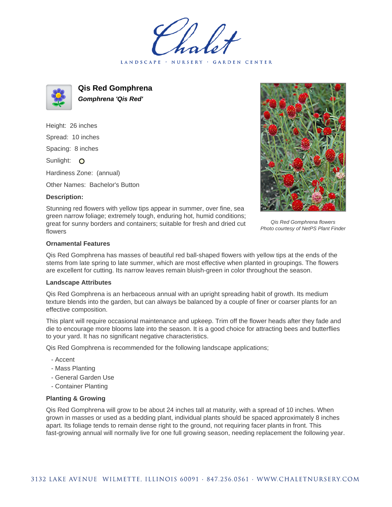LANDSCAPE · NURSERY · GARDEN CENTER



**Qis Red Gomphrena Gomphrena 'Qis Red'**

Height: 26 inches Spread: 10 inches Spacing: 8 inches Sunlight: O Hardiness Zone: (annual)

Other Names: Bachelor's Button

## **Description:**

Stunning red flowers with yellow tips appear in summer, over fine, sea green narrow foliage; extremely tough, enduring hot, humid conditions; great for sunny borders and containers; suitable for fresh and dried cut flowers

Qis Red Gomphrena flowers Photo courtesy of NetPS Plant Finder

## **Ornamental Features**

Qis Red Gomphrena has masses of beautiful red ball-shaped flowers with yellow tips at the ends of the stems from late spring to late summer, which are most effective when planted in groupings. The flowers are excellent for cutting. Its narrow leaves remain bluish-green in color throughout the season.

## **Landscape Attributes**

Qis Red Gomphrena is an herbaceous annual with an upright spreading habit of growth. Its medium texture blends into the garden, but can always be balanced by a couple of finer or coarser plants for an effective composition.

This plant will require occasional maintenance and upkeep. Trim off the flower heads after they fade and die to encourage more blooms late into the season. It is a good choice for attracting bees and butterflies to your yard. It has no significant negative characteristics.

Qis Red Gomphrena is recommended for the following landscape applications;

- Accent
- Mass Planting
- General Garden Use
- Container Planting

## **Planting & Growing**

Qis Red Gomphrena will grow to be about 24 inches tall at maturity, with a spread of 10 inches. When grown in masses or used as a bedding plant, individual plants should be spaced approximately 8 inches apart. Its foliage tends to remain dense right to the ground, not requiring facer plants in front. This fast-growing annual will normally live for one full growing season, needing replacement the following year.